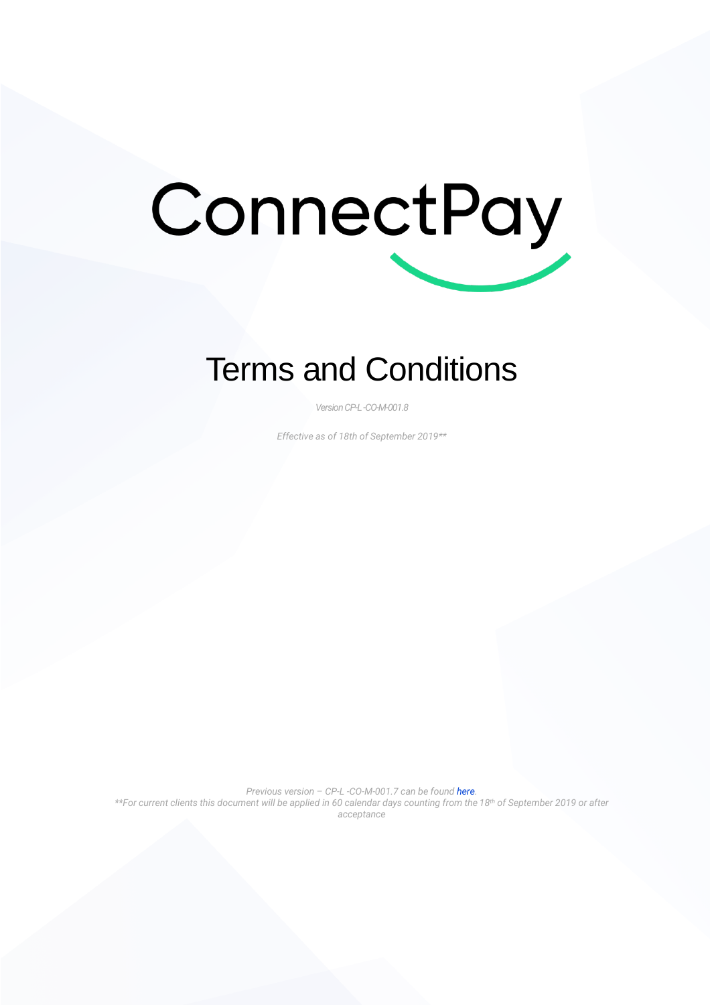# ConnectPay

# Terms and Conditions

*VersionCP-L -CO-M-001.8*

*Effective as of 18th of September 2019\*\**

*Previous version – CP-L -CO-M-001.7 can be found [here.](https://connectpay.com/termsandconditions-2/) \*\*For current clients this document will be applied in 60 calendar days counting from the 18th of September 2019 or after acceptance*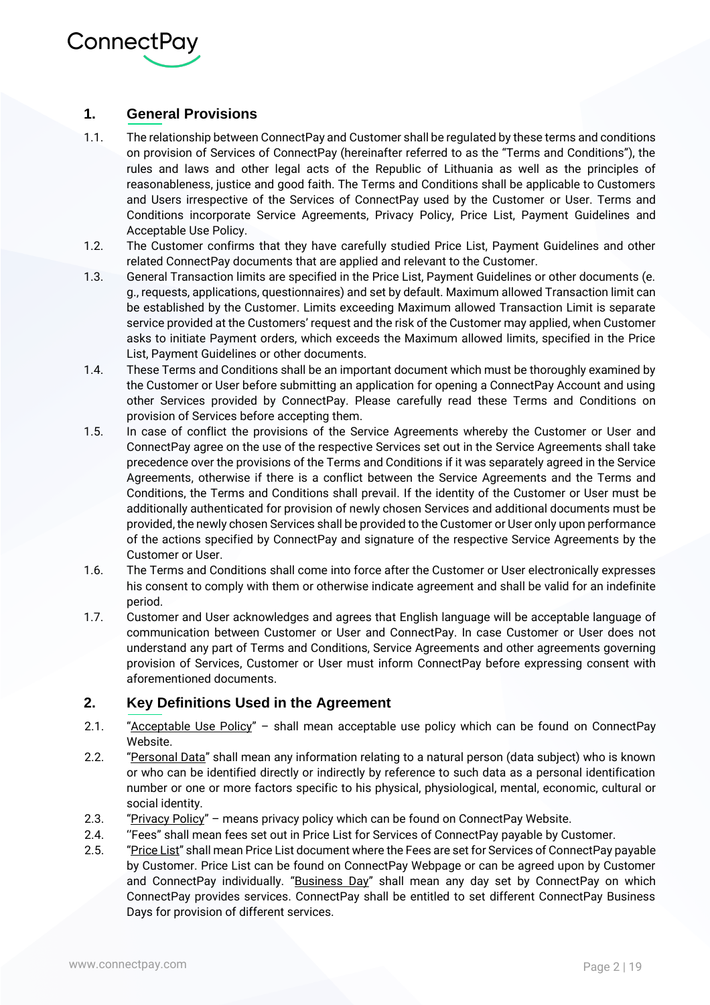

## **1. General Provisions**

- 1.1. The relationship between ConnectPay and Customer shall be regulated by these terms and conditions on provision of Services of ConnectPay (hereinafter referred to as the "Terms and Conditions"), the rules and laws and other legal acts of the Republic of Lithuania as well as the principles of reasonableness, justice and good faith. The Terms and Conditions shall be applicable to Customers and Users irrespective of the Services of ConnectPay used by the Customer or User. Terms and Conditions incorporate Service Agreements, Privacy Policy, Price List, Payment Guidelines and Acceptable Use Policy.
- 1.2. The Customer confirms that they have carefully studied Price List, Payment Guidelines and other related ConnectPay documents that are applied and relevant to the Customer.
- 1.3. General Transaction limits are specified in the Price List, Payment Guidelines or other documents (e. g., requests, applications, questionnaires) and set by default. Maximum allowed Transaction limit can be established by the Customer. Limits exceeding Maximum allowed Transaction Limit is separate service provided at the Customers' request and the risk of the Customer may applied, when Customer asks to initiate Payment orders, which exceeds the Maximum allowed limits, specified in the Price List, Payment Guidelines or other documents.
- 1.4. These Terms and Conditions shall be an important document which must be thoroughly examined by the Customer or User before submitting an application for opening a ConnectPay Account and using other Services provided by ConnectPay. Please carefully read these Terms and Conditions on provision of Services before accepting them.
- 1.5. In case of conflict the provisions of the Service Agreements whereby the Customer or User and ConnectPay agree on the use of the respective Services set out in the Service Agreements shall take precedence over the provisions of the Terms and Conditions if it was separately agreed in the Service Agreements, otherwise if there is a conflict between the Service Agreements and the Terms and Conditions, the Terms and Conditions shall prevail. If the identity of the Customer or User must be additionally authenticated for provision of newly chosen Services and additional documents must be provided, the newly chosen Services shall be provided to the Customer or User only upon performance of the actions specified by ConnectPay and signature of the respective Service Agreements by the Customer or User.
- 1.6. The Terms and Conditions shall come into force after the Customer or User electronically expresses his consent to comply with them or otherwise indicate agreement and shall be valid for an indefinite period.
- 1.7. Customer and User acknowledges and agrees that English language will be acceptable language of communication between Customer or User and ConnectPay. In case Customer or User does not understand any part of Terms and Conditions, Service Agreements and other agreements governing provision of Services, Customer or User must inform ConnectPay before expressing consent with aforementioned documents.

#### **2. Key Definitions Used in the Agreement**

- 2.1. "Acceptable Use Policy" shall mean acceptable use policy which can be found on ConnectPay Website.
- 2.2. "Personal Data" shall mean any information relating to a natural person (data subject) who is known or who can be identified directly or indirectly by reference to such data as a personal identification number or one or more factors specific to his physical, physiological, mental, economic, cultural or social identity.
- 2.3. "Privacy Policy" means privacy policy which can be found on ConnectPay Website.
- 2.4. ''Fees" shall mean fees set out in Price List for Services of ConnectPay payable by Customer.
- 2.5. "Price List" shall mean Price List document where the Fees are set for Services of ConnectPay payable by Customer. Price List can be found on ConnectPay Webpage or can be agreed upon by Customer and ConnectPay individually. "Business Day" shall mean any day set by ConnectPay on which ConnectPay provides services. ConnectPay shall be entitled to set different ConnectPay Business Days for provision of different services.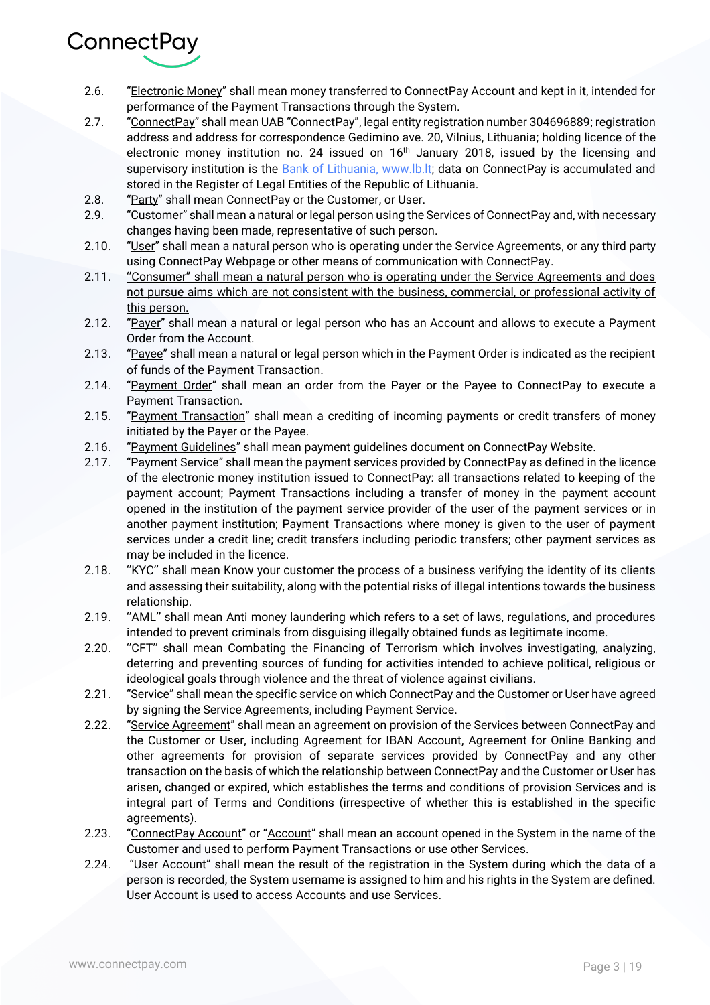

- 2.6. "Electronic Money" shall mean money transferred to ConnectPay Account and kept in it, intended for performance of the Payment Transactions through the System.
- 2.7. "ConnectPay" shall mean UAB "ConnectPay", legal entity registration number 304696889; registration address and address for correspondence Gedimino ave. 20, Vilnius, Lithuania; holding licence of the electronic money institution no. 24 issued on 16<sup>th</sup> January 2018, issued by the licensing and supervisory institution is the [Bank of Lithuania,](http://www.lb.lt/) www.lb.lt; data on ConnectPay is accumulated and stored in the Register of Legal Entities of the Republic of Lithuania.
- 2.8. "Party" shall mean ConnectPay or the Customer, or User.
- 2.9. "Customer" shall mean a natural or legal person using the Services of ConnectPay and, with necessary changes having been made, representative of such person.
- 2.10. "User" shall mean a natural person who is operating under the Service Agreements, or any third party using ConnectPay Webpage or other means of communication with ConnectPay.
- 2.11. "Consumer" shall mean a natural person who is operating under the Service Agreements and does not pursue aims which are not consistent with the business, commercial, or professional activity of this person.
- 2.12. "Payer" shall mean a natural or legal person who has an Account and allows to execute a Payment Order from the Account.
- 2.13. "Payee" shall mean a natural or legal person which in the Payment Order is indicated as the recipient of funds of the Payment Transaction.
- 2.14. "Payment Order" shall mean an order from the Payer or the Payee to ConnectPay to execute a Payment Transaction.
- 2.15. "Payment Transaction" shall mean a crediting of incoming payments or credit transfers of money initiated by the Payer or the Payee.
- 2.16. "Payment Guidelines" shall mean payment guidelines document on ConnectPay Website.
- 2.17. "Payment Service" shall mean the payment services provided by ConnectPay as defined in the licence of the electronic money institution issued to ConnectPay: all transactions related to keeping of the payment account; Payment Transactions including a transfer of money in the payment account opened in the institution of the payment service provider of the user of the payment services or in another payment institution; Payment Transactions where money is given to the user of payment services under a credit line; credit transfers including periodic transfers; other payment services as may be included in the licence.
- 2.18. ''KYC'' shall mean Know your customer the process of a business verifying the identity of its clients and assessing their suitability, along with the potential risks of illegal intentions towards the business relationship.
- 2.19. ''AML'' shall mean Anti money laundering which refers to a set of laws, regulations, and procedures intended to prevent criminals from disguising illegally obtained funds as legitimate income.
- 2.20. ''CFT'' shall mean Combating the Financing of Terrorism which involves investigating, analyzing, deterring and preventing sources of funding for activities intended to achieve political, religious or ideological goals through violence and the threat of violence against civilians.
- 2.21. "Service" shall mean the specific service on which ConnectPay and the Customer or User have agreed by signing the Service Agreements, including Payment Service.
- 2.22. "Service Agreement" shall mean an agreement on provision of the Services between ConnectPay and the Customer or User, including Agreement for IBAN Account, Agreement for Online Banking and other agreements for provision of separate services provided by ConnectPay and any other transaction on the basis of which the relationship between ConnectPay and the Customer or User has arisen, changed or expired, which establishes the terms and conditions of provision Services and is integral part of Terms and Conditions (irrespective of whether this is established in the specific agreements).
- 2.23. "ConnectPay Account" or "Account" shall mean an account opened in the System in the name of the Customer and used to perform Payment Transactions or use other Services.
- 2.24. "User Account" shall mean the result of the registration in the System during which the data of a person is recorded, the System username is assigned to him and his rights in the System are defined. User Account is used to access Accounts and use Services.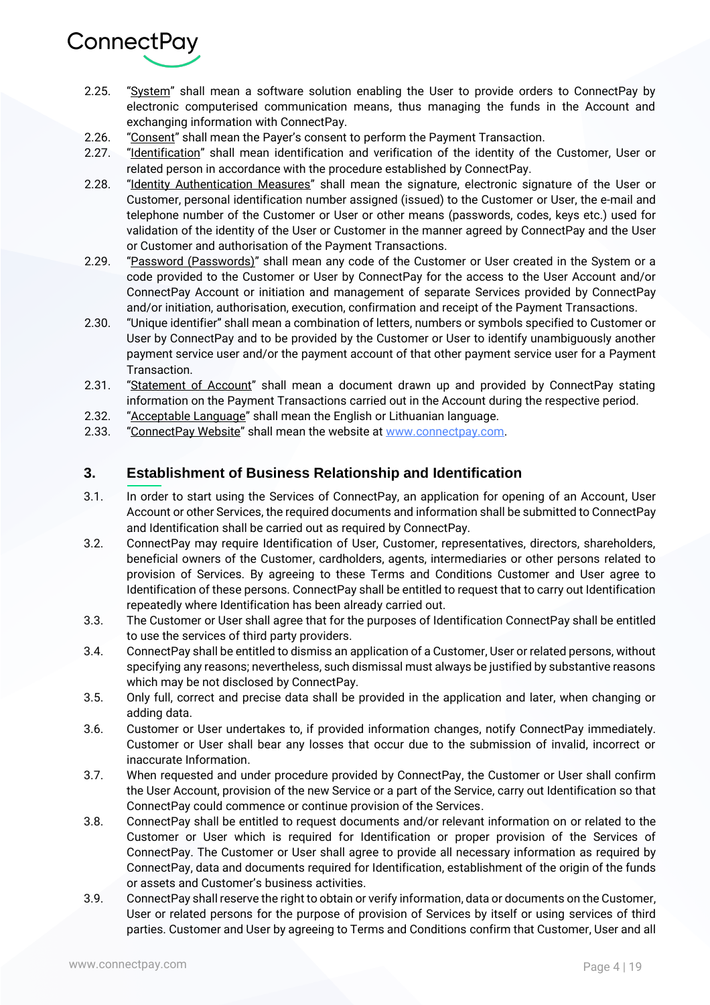

- 2.25. "System" shall mean a software solution enabling the User to provide orders to ConnectPay by electronic computerised communication means, thus managing the funds in the Account and exchanging information with ConnectPay.
- 2.26. "Consent" shall mean the Payer's consent to perform the Payment Transaction.
- 2.27. "Identification" shall mean identification and verification of the identity of the Customer, User or related person in accordance with the procedure established by ConnectPay.
- 2.28. "Identity Authentication Measures" shall mean the signature, electronic signature of the User or Customer, personal identification number assigned (issued) to the Customer or User, the e-mail and telephone number of the Customer or User or other means (passwords, codes, keys etc.) used for validation of the identity of the User or Customer in the manner agreed by ConnectPay and the User or Customer and authorisation of the Payment Transactions.
- 2.29. "Password (Passwords)" shall mean any code of the Customer or User created in the System or a code provided to the Customer or User by ConnectPay for the access to the User Account and/or ConnectPay Account or initiation and management of separate Services provided by ConnectPay and/or initiation, authorisation, execution, confirmation and receipt of the Payment Transactions.
- 2.30. "Unique identifier" shall mean a combination of letters, numbers or symbols specified to Customer or User by ConnectPay and to be provided by the Customer or User to identify unambiguously another payment service user and/or the payment account of that other payment service user for a Payment Transaction.
- 2.31. "Statement of Account" shall mean a document drawn up and provided by ConnectPay stating information on the Payment Transactions carried out in the Account during the respective period.
- 2.32. "Acceptable Language" shall mean the English or Lithuanian language.
- 2.33. "Connect Pay Website" shall mean the website at www.connect pay.com.

#### **3. Establishment of Business Relationship and Identification**

- 3.1. In order to start using the Services of ConnectPay, an application for opening of an Account, User Account or other Services, the required documents and information shall be submitted to ConnectPay and Identification shall be carried out as required by ConnectPay.
- 3.2. ConnectPay may require Identification of User, Customer, representatives, directors, shareholders, beneficial owners of the Customer, cardholders, agents, intermediaries or other persons related to provision of Services. By agreeing to these Terms and Conditions Customer and User agree to Identification of these persons. ConnectPay shall be entitled to request that to carry out Identification repeatedly where Identification has been already carried out.
- 3.3. The Customer or User shall agree that for the purposes of Identification ConnectPay shall be entitled to use the services of third party providers.
- 3.4. ConnectPay shall be entitled to dismiss an application of a Customer, User or related persons, without specifying any reasons; nevertheless, such dismissal must always be justified by substantive reasons which may be not disclosed by ConnectPay.
- 3.5. Only full, correct and precise data shall be provided in the application and later, when changing or adding data.
- 3.6. Customer or User undertakes to, if provided information changes, notify ConnectPay immediately. Customer or User shall bear any losses that occur due to the submission of invalid, incorrect or inaccurate Information.
- 3.7. When requested and under procedure provided by ConnectPay, the Customer or User shall confirm the User Account, provision of the new Service or a part of the Service, carry out Identification so that ConnectPay could commence or continue provision of the Services.
- 3.8. ConnectPay shall be entitled to request documents and/or relevant information on or related to the Customer or User which is required for Identification or proper provision of the Services of ConnectPay. The Customer or User shall agree to provide all necessary information as required by ConnectPay, data and documents required for Identification, establishment of the origin of the funds or assets and Customer's business activities.
- 3.9. ConnectPay shall reserve the right to obtain or verify information, data or documents on the Customer, User or related persons for the purpose of provision of Services by itself or using services of third parties. Customer and User by agreeing to Terms and Conditions confirm that Customer, User and all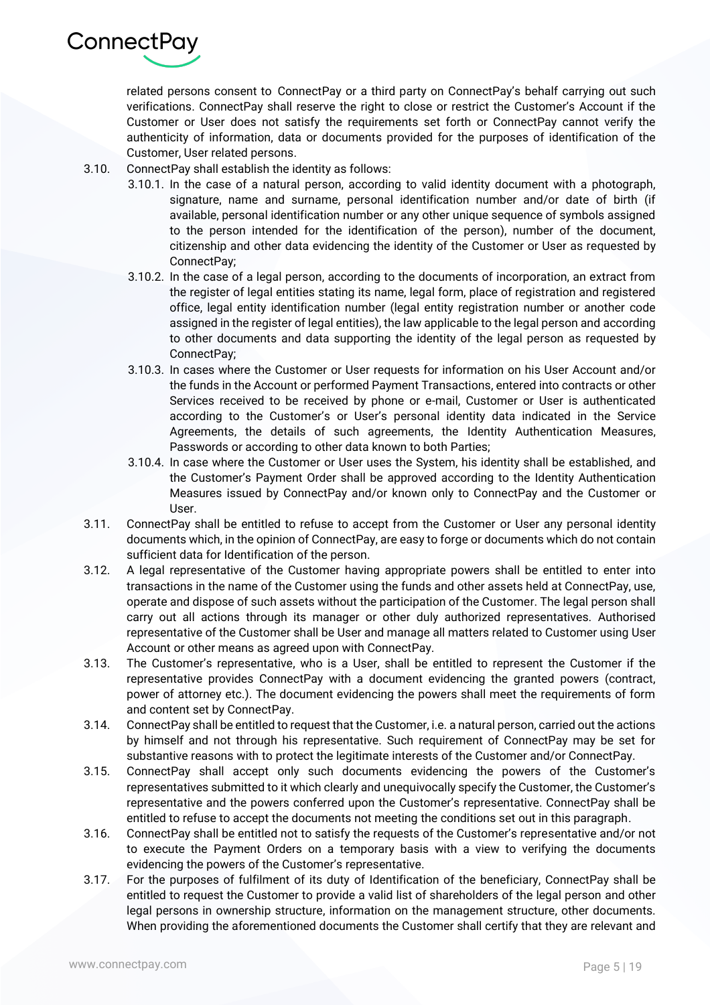

related persons consent to ConnectPay or a third party on ConnectPay's behalf carrying out such verifications. ConnectPay shall reserve the right to close or restrict the Customer's Account if the Customer or User does not satisfy the requirements set forth or ConnectPay cannot verify the authenticity of information, data or documents provided for the purposes of identification of the Customer, User related persons.

- 3.10. ConnectPay shall establish the identity as follows:
	- 3.10.1. In the case of a natural person, according to valid identity document with a photograph, signature, name and surname, personal identification number and/or date of birth (if available, personal identification number or any other unique sequence of symbols assigned to the person intended for the identification of the person), number of the document, citizenship and other data evidencing the identity of the Customer or User as requested by ConnectPay;
	- 3.10.2. In the case of a legal person, according to the documents of incorporation, an extract from the register of legal entities stating its name, legal form, place of registration and registered office, legal entity identification number (legal entity registration number or another code assigned in the register of legal entities), the law applicable to the legal person and according to other documents and data supporting the identity of the legal person as requested by ConnectPay;
	- 3.10.3. In cases where the Customer or User requests for information on his User Account and/or the funds in the Account or performed Payment Transactions, entered into contracts or other Services received to be received by phone or e-mail, Customer or User is authenticated according to the Customer's or User's personal identity data indicated in the Service Agreements, the details of such agreements, the Identity Authentication Measures, Passwords or according to other data known to both Parties;
	- 3.10.4. In case where the Customer or User uses the System, his identity shall be established, and the Customer's Payment Order shall be approved according to the Identity Authentication Measures issued by ConnectPay and/or known only to ConnectPay and the Customer or User.
- 3.11. ConnectPay shall be entitled to refuse to accept from the Customer or User any personal identity documents which, in the opinion of ConnectPay, are easy to forge or documents which do not contain sufficient data for Identification of the person.
- 3.12. A legal representative of the Customer having appropriate powers shall be entitled to enter into transactions in the name of the Customer using the funds and other assets held at ConnectPay, use, operate and dispose of such assets without the participation of the Customer. The legal person shall carry out all actions through its manager or other duly authorized representatives. Authorised representative of the Customer shall be User and manage all matters related to Customer using User Account or other means as agreed upon with ConnectPay.
- 3.13. The Customer's representative, who is a User, shall be entitled to represent the Customer if the representative provides ConnectPay with a document evidencing the granted powers (contract, power of attorney etc.). The document evidencing the powers shall meet the requirements of form and content set by ConnectPay.
- 3.14. ConnectPay shall be entitled to request that the Customer, i.e. a natural person, carried out the actions by himself and not through his representative. Such requirement of ConnectPay may be set for substantive reasons with to protect the legitimate interests of the Customer and/or ConnectPay.
- 3.15. ConnectPay shall accept only such documents evidencing the powers of the Customer's representatives submitted to it which clearly and unequivocally specify the Customer, the Customer's representative and the powers conferred upon the Customer's representative. ConnectPay shall be entitled to refuse to accept the documents not meeting the conditions set out in this paragraph.
- 3.16. ConnectPay shall be entitled not to satisfy the requests of the Customer's representative and/or not to execute the Payment Orders on a temporary basis with a view to verifying the documents evidencing the powers of the Customer's representative.
- 3.17. For the purposes of fulfilment of its duty of Identification of the beneficiary, ConnectPay shall be entitled to request the Customer to provide a valid list of shareholders of the legal person and other legal persons in ownership structure, information on the management structure, other documents. When providing the aforementioned documents the Customer shall certify that they are relevant and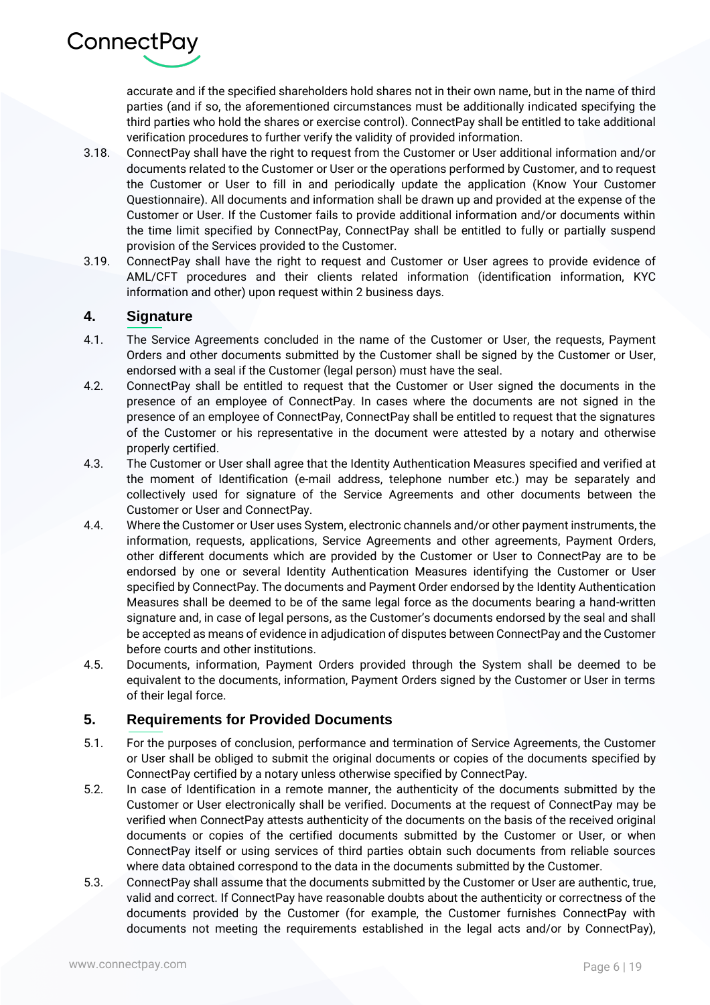

accurate and if the specified shareholders hold shares not in their own name, but in the name of third parties (and if so, the aforementioned circumstances must be additionally indicated specifying the third parties who hold the shares or exercise control). ConnectPay shall be entitled to take additional verification procedures to further verify the validity of provided information.

- 3.18. ConnectPay shall have the right to request from the Customer or User additional information and/or documents related to the Customer or User or the operations performed by Customer, and to request the Customer or User to fill in and periodically update the application (Know Your Customer Questionnaire). All documents and information shall be drawn up and provided at the expense of the Customer or User. If the Customer fails to provide additional information and/or documents within the time limit specified by ConnectPay, ConnectPay shall be entitled to fully or partially suspend provision of the Services provided to the Customer.
- 3.19. ConnectPay shall have the right to request and Customer or User agrees to provide evidence of AML/CFT procedures and their clients related information (identification information, KYC information and other) upon request within 2 business days.

#### **4. Signature**

- 4.1. The Service Agreements concluded in the name of the Customer or User, the requests, Payment Orders and other documents submitted by the Customer shall be signed by the Customer or User, endorsed with a seal if the Customer (legal person) must have the seal.
- 4.2. ConnectPay shall be entitled to request that the Customer or User signed the documents in the presence of an employee of ConnectPay. In cases where the documents are not signed in the presence of an employee of ConnectPay, ConnectPay shall be entitled to request that the signatures of the Customer or his representative in the document were attested by a notary and otherwise properly certified.
- 4.3. The Customer or User shall agree that the Identity Authentication Measures specified and verified at the moment of Identification (e-mail address, telephone number etc.) may be separately and collectively used for signature of the Service Agreements and other documents between the Customer or User and ConnectPay.
- 4.4. Where the Customer or User uses System, electronic channels and/or other payment instruments, the information, requests, applications, Service Agreements and other agreements, Payment Orders, other different documents which are provided by the Customer or User to ConnectPay are to be endorsed by one or several Identity Authentication Measures identifying the Customer or User specified by ConnectPay. The documents and Payment Order endorsed by the Identity Authentication Measures shall be deemed to be of the same legal force as the documents bearing a hand-written signature and, in case of legal persons, as the Customer's documents endorsed by the seal and shall be accepted as means of evidence in adjudication of disputes between ConnectPay and the Customer before courts and other institutions.
- 4.5. Documents, information, Payment Orders provided through the System shall be deemed to be equivalent to the documents, information, Payment Orders signed by the Customer or User in terms of their legal force.

#### **5. Requirements for Provided Documents**

- 5.1. For the purposes of conclusion, performance and termination of Service Agreements, the Customer or User shall be obliged to submit the original documents or copies of the documents specified by ConnectPay certified by a notary unless otherwise specified by ConnectPay.
- 5.2. In case of Identification in a remote manner, the authenticity of the documents submitted by the Customer or User electronically shall be verified. Documents at the request of ConnectPay may be verified when ConnectPay attests authenticity of the documents on the basis of the received original documents or copies of the certified documents submitted by the Customer or User, or when ConnectPay itself or using services of third parties obtain such documents from reliable sources where data obtained correspond to the data in the documents submitted by the Customer.
- 5.3. ConnectPay shall assume that the documents submitted by the Customer or User are authentic, true, valid and correct. If ConnectPay have reasonable doubts about the authenticity or correctness of the documents provided by the Customer (for example, the Customer furnishes ConnectPay with documents not meeting the requirements established in the legal acts and/or by ConnectPay),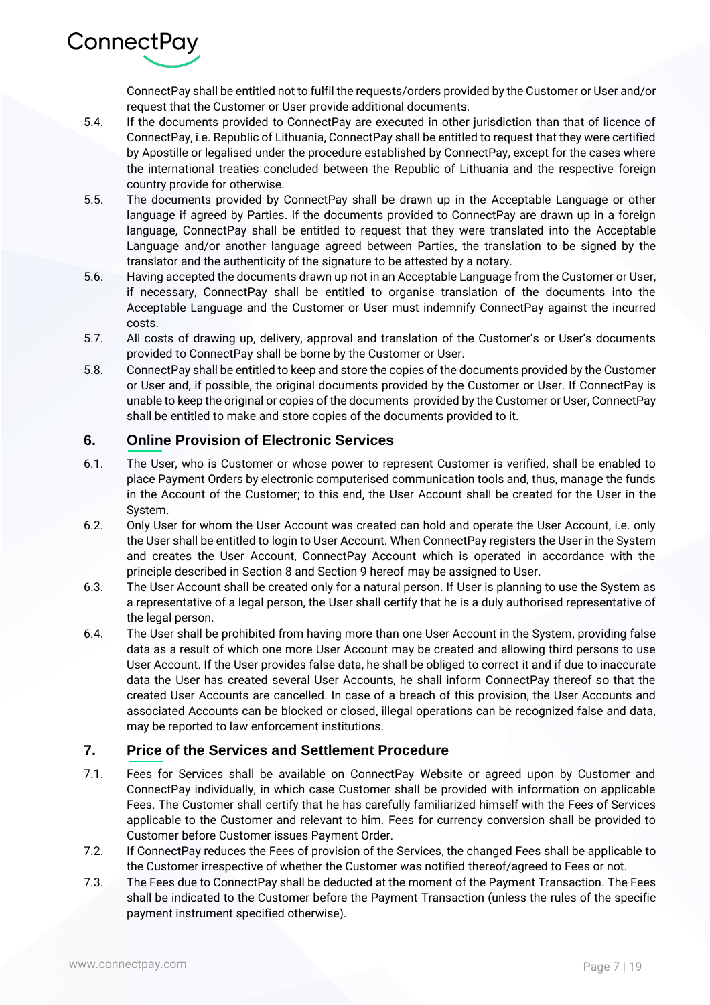ConnectPay shall be entitled not to fulfil the requests/orders provided by the Customer or User and/or request that the Customer or User provide additional documents.

- 5.4. If the documents provided to ConnectPay are executed in other jurisdiction than that of licence of ConnectPay, i.e. Republic of Lithuania, ConnectPay shall be entitled to request that they were certified by Apostille or legalised under the procedure established by ConnectPay, except for the cases where the international treaties concluded between the Republic of Lithuania and the respective foreign country provide for otherwise.
- 5.5. The documents provided by ConnectPay shall be drawn up in the Acceptable Language or other language if agreed by Parties. If the documents provided to ConnectPay are drawn up in a foreign language, ConnectPay shall be entitled to request that they were translated into the Acceptable Language and/or another language agreed between Parties, the translation to be signed by the translator and the authenticity of the signature to be attested by a notary.
- 5.6. Having accepted the documents drawn up not in an Acceptable Language from the Customer or User, if necessary, ConnectPay shall be entitled to organise translation of the documents into the Acceptable Language and the Customer or User must indemnify ConnectPay against the incurred costs.
- 5.7. All costs of drawing up, delivery, approval and translation of the Customer's or User's documents provided to ConnectPay shall be borne by the Customer or User.
- 5.8. ConnectPay shall be entitled to keep and store the copies of the documents provided by the Customer or User and, if possible, the original documents provided by the Customer or User. If ConnectPay is unable to keep the original or copies of the documents provided by the Customer or User, ConnectPay shall be entitled to make and store copies of the documents provided to it.

#### **6. Online Provision of Electronic Services**

ConnectPay

- 6.1. The User, who is Customer or whose power to represent Customer is verified, shall be enabled to place Payment Orders by electronic computerised communication tools and, thus, manage the funds in the Account of the Customer; to this end, the User Account shall be created for the User in the System.
- 6.2. Only User for whom the User Account was created can hold and operate the User Account, i.e. only the User shall be entitled to login to User Account. When ConnectPay registers the User in the System and creates the User Account, ConnectPay Account which is operated in accordance with the principle described in Section 8 and Section 9 hereof may be assigned to User.
- 6.3. The User Account shall be created only for a natural person. If User is planning to use the System as a representative of a legal person, the User shall certify that he is a duly authorised representative of the legal person.
- 6.4. The User shall be prohibited from having more than one User Account in the System, providing false data as a result of which one more User Account may be created and allowing third persons to use User Account. If the User provides false data, he shall be obliged to correct it and if due to inaccurate data the User has created several User Accounts, he shall inform ConnectPay thereof so that the created User Accounts are cancelled. In case of a breach of this provision, the User Accounts and associated Accounts can be blocked or closed, illegal operations can be recognized false and data, may be reported to law enforcement institutions.

#### **7. Price of the Services and Settlement Procedure**

- 7.1. Fees for Services shall be available on ConnectPay Website or agreed upon by Customer and ConnectPay individually, in which case Customer shall be provided with information on applicable Fees. The Customer shall certify that he has carefully familiarized himself with the Fees of Services applicable to the Customer and relevant to him. Fees for currency conversion shall be provided to Customer before Customer issues Payment Order.
- 7.2. If ConnectPay reduces the Fees of provision of the Services, the changed Fees shall be applicable to the Customer irrespective of whether the Customer was notified thereof/agreed to Fees or not.
- 7.3. The Fees due to ConnectPay shall be deducted at the moment of the Payment Transaction. The Fees shall be indicated to the Customer before the Payment Transaction (unless the rules of the specific payment instrument specified otherwise).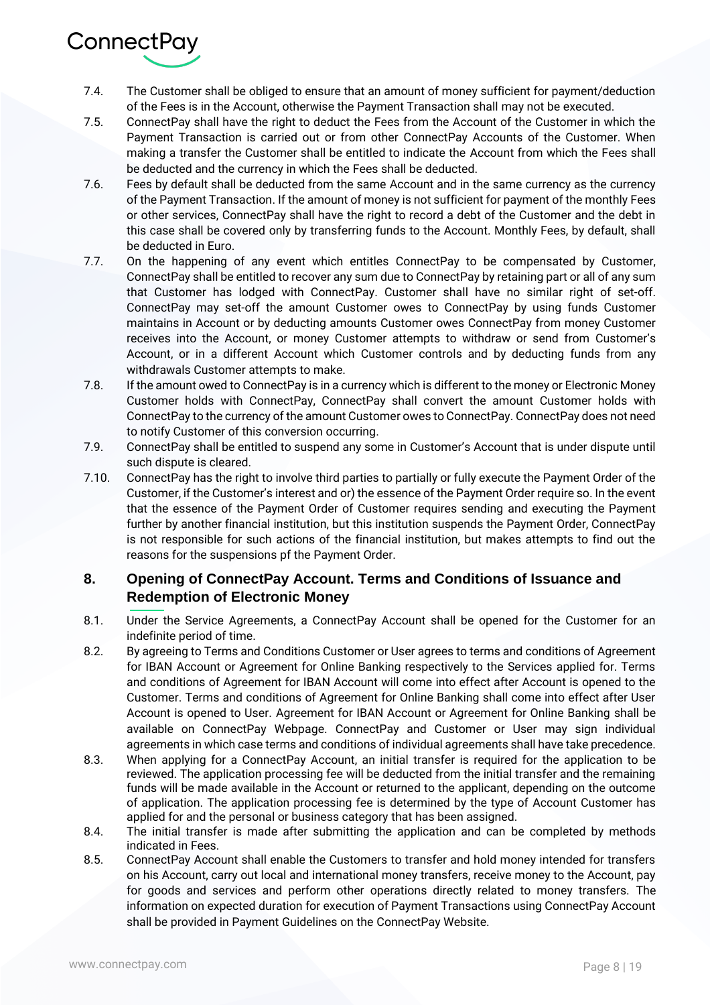

- 7.4. The Customer shall be obliged to ensure that an amount of money sufficient for payment/deduction of the Fees is in the Account, otherwise the Payment Transaction shall may not be executed.
- 7.5. ConnectPay shall have the right to deduct the Fees from the Account of the Customer in which the Payment Transaction is carried out or from other ConnectPay Accounts of the Customer. When making a transfer the Customer shall be entitled to indicate the Account from which the Fees shall be deducted and the currency in which the Fees shall be deducted.
- 7.6. Fees by default shall be deducted from the same Account and in the same currency as the currency of the Payment Transaction. If the amount of money is not sufficient for payment of the monthly Fees or other services, ConnectPay shall have the right to record a debt of the Customer and the debt in this case shall be covered only by transferring funds to the Account. Monthly Fees, by default, shall be deducted in Euro.
- 7.7. On the happening of any event which entitles ConnectPay to be compensated by Customer, ConnectPay shall be entitled to recover any sum due to ConnectPay by retaining part or all of any sum that Customer has lodged with ConnectPay. Customer shall have no similar right of set-off. ConnectPay may set-off the amount Customer owes to ConnectPay by using funds Customer maintains in Account or by deducting amounts Customer owes ConnectPay from money Customer receives into the Account, or money Customer attempts to withdraw or send from Customer's Account, or in a different Account which Customer controls and by deducting funds from any withdrawals Customer attempts to make.
- 7.8. If the amount owed to ConnectPay is in a currency which is different to the money or Electronic Money Customer holds with ConnectPay, ConnectPay shall convert the amount Customer holds with ConnectPay to the currency of the amount Customer owes to ConnectPay. ConnectPay does not need to notify Customer of this conversion occurring.
- 7.9. ConnectPay shall be entitled to suspend any some in Customer's Account that is under dispute until such dispute is cleared.
- 7.10. ConnectPay has the right to involve third parties to partially or fully execute the Payment Order of the Customer, if the Customer's interest and or) the essence of the Payment Order require so. In the event that the essence of the Payment Order of Customer requires sending and executing the Payment further by another financial institution, but this institution suspends the Payment Order, ConnectPay is not responsible for such actions of the financial institution, but makes attempts to find out the reasons for the suspensions pf the Payment Order.

# **8. Opening of ConnectPay Account. Terms and Conditions of Issuance and Redemption of Electronic Money**

- 8.1. Under the Service Agreements, a ConnectPay Account shall be opened for the Customer for an indefinite period of time.
- 8.2. By agreeing to Terms and Conditions Customer or User agrees to terms and conditions of Agreement for IBAN Account or Agreement for Online Banking respectively to the Services applied for. Terms and conditions of Agreement for IBAN Account will come into effect after Account is opened to the Customer. Terms and conditions of Agreement for Online Banking shall come into effect after User Account is opened to User. Agreement for IBAN Account or Agreement for Online Banking shall be available on ConnectPay Webpage. ConnectPay and Customer or User may sign individual agreements in which case terms and conditions of individual agreements shall have take precedence.
- 8.3. When applying for a ConnectPay Account, an initial transfer is required for the application to be reviewed. The application processing fee will be deducted from the initial transfer and the remaining funds will be made available in the Account or returned to the applicant, depending on the outcome of application. The application processing fee is determined by the type of Account Customer has applied for and the personal or business category that has been assigned.
- 8.4. The initial transfer is made after submitting the application and can be completed by methods indicated in Fees.
- 8.5. ConnectPay Account shall enable the Customers to transfer and hold money intended for transfers on his Account, carry out local and international money transfers, receive money to the Account, pay for goods and services and perform other operations directly related to money transfers. The information on expected duration for execution of Payment Transactions using ConnectPay Account shall be provided in Payment Guidelines on the ConnectPay Website.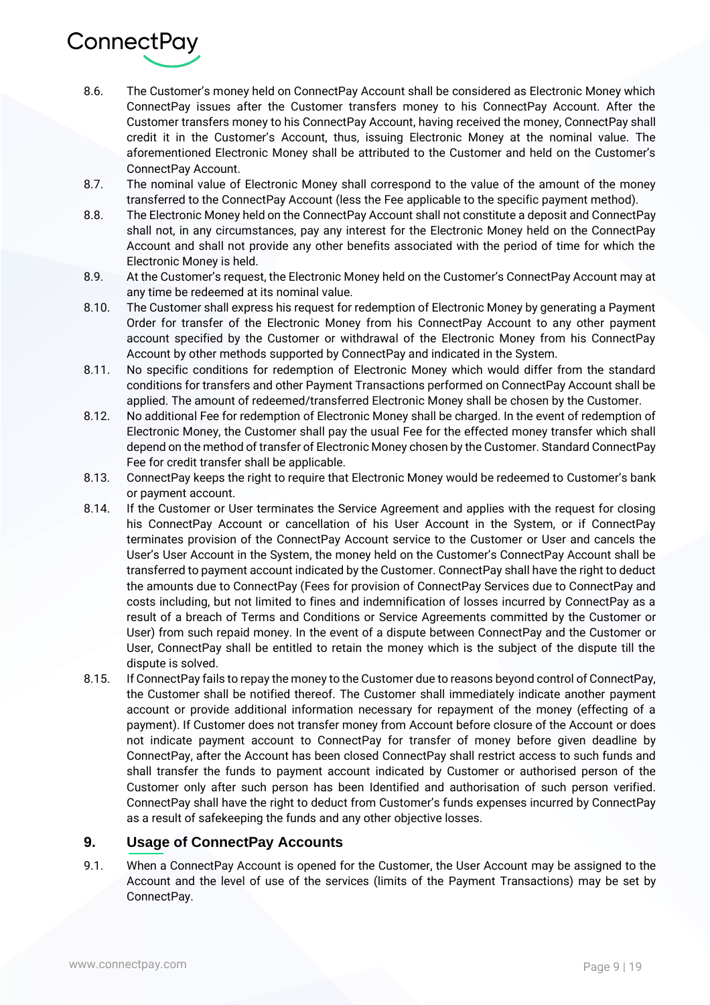

- 8.6. The Customer's money held on ConnectPay Account shall be considered as Electronic Money which ConnectPay issues after the Customer transfers money to his ConnectPay Account. After the Customer transfers money to his ConnectPay Account, having received the money, ConnectPay shall credit it in the Customer's Account, thus, issuing Electronic Money at the nominal value. The aforementioned Electronic Money shall be attributed to the Customer and held on the Customer's ConnectPay Account.
- 8.7. The nominal value of Electronic Money shall correspond to the value of the amount of the money transferred to the ConnectPay Account (less the Fee applicable to the specific payment method).
- 8.8. The Electronic Money held on the ConnectPay Account shall not constitute a deposit and ConnectPay shall not, in any circumstances, pay any interest for the Electronic Money held on the ConnectPay Account and shall not provide any other benefits associated with the period of time for which the Electronic Money is held.
- 8.9. At the Customer's request, the Electronic Money held on the Customer's ConnectPay Account may at any time be redeemed at its nominal value.
- 8.10. The Customer shall express his request for redemption of Electronic Money by generating a Payment Order for transfer of the Electronic Money from his ConnectPay Account to any other payment account specified by the Customer or withdrawal of the Electronic Money from his ConnectPay Account by other methods supported by ConnectPay and indicated in the System.
- 8.11. No specific conditions for redemption of Electronic Money which would differ from the standard conditions for transfers and other Payment Transactions performed on ConnectPay Account shall be applied. The amount of redeemed/transferred Electronic Money shall be chosen by the Customer.
- 8.12. No additional Fee for redemption of Electronic Money shall be charged. In the event of redemption of Electronic Money, the Customer shall pay the usual Fee for the effected money transfer which shall depend on the method of transfer of Electronic Money chosen by the Customer. Standard ConnectPay Fee for credit transfer shall be applicable.
- 8.13. Connect Pay keeps the right to require that Electronic Money would be redeemed to Customer's bank or payment account.
- 8.14. If the Customer or User terminates the Service Agreement and applies with the request for closing his ConnectPay Account or cancellation of his User Account in the System, or if ConnectPay terminates provision of the ConnectPay Account service to the Customer or User and cancels the User's User Account in the System, the money held on the Customer's ConnectPay Account shall be transferred to payment account indicated by the Customer. ConnectPay shall have the right to deduct the amounts due to ConnectPay (Fees for provision of ConnectPay Services due to ConnectPay and costs including, but not limited to fines and indemnification of losses incurred by ConnectPay as a result of a breach of Terms and Conditions or Service Agreements committed by the Customer or User) from such repaid money. In the event of a dispute between ConnectPay and the Customer or User, ConnectPay shall be entitled to retain the money which is the subject of the dispute till the dispute is solved.
- 8.15. If ConnectPay fails to repay the money to the Customer due to reasons beyond control of ConnectPay, the Customer shall be notified thereof. The Customer shall immediately indicate another payment account or provide additional information necessary for repayment of the money (effecting of a payment). If Customer does not transfer money from Account before closure of the Account or does not indicate payment account to ConnectPay for transfer of money before given deadline by ConnectPay, after the Account has been closed ConnectPay shall restrict access to such funds and shall transfer the funds to payment account indicated by Customer or authorised person of the Customer only after such person has been Identified and authorisation of such person verified. ConnectPay shall have the right to deduct from Customer's funds expenses incurred by ConnectPay as a result of safekeeping the funds and any other objective losses.

# **9. Usage of ConnectPay Accounts**

9.1. When a ConnectPay Account is opened for the Customer, the User Account may be assigned to the Account and the level of use of the services (limits of the Payment Transactions) may be set by ConnectPay.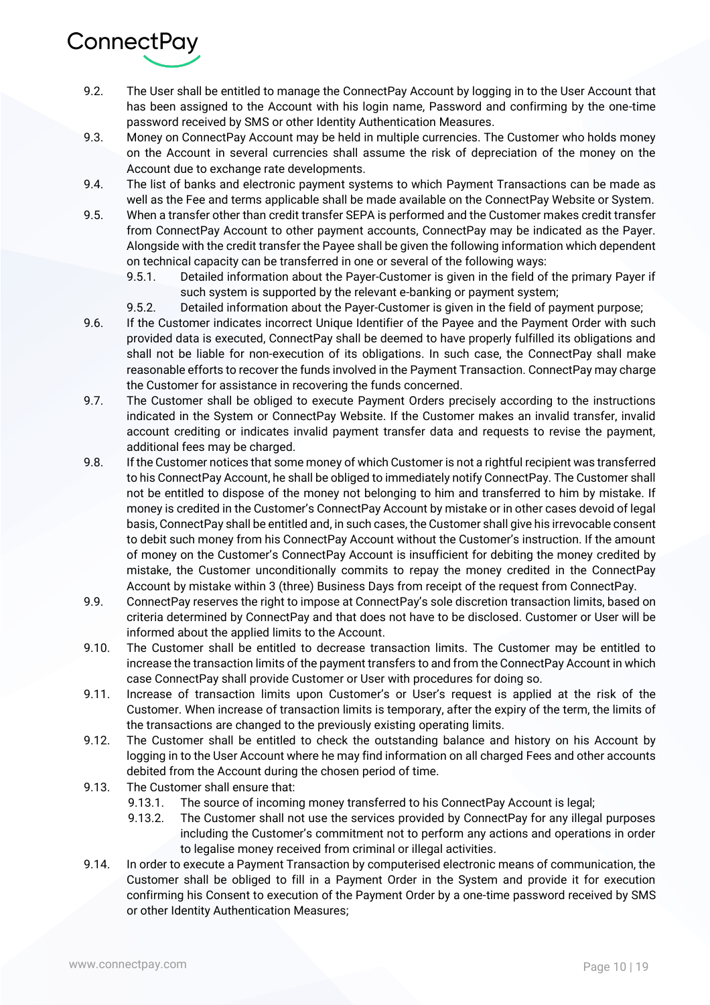

- 9.2. The User shall be entitled to manage the ConnectPay Account by logging in to the User Account that has been assigned to the Account with his login name, Password and confirming by the one-time password received by SMS or other Identity Authentication Measures.
- 9.3. Money on ConnectPay Account may be held in multiple currencies. The Customer who holds money on the Account in several currencies shall assume the risk of depreciation of the money on the Account due to exchange rate developments.
- 9.4. The list of banks and electronic payment systems to which Payment Transactions can be made as well as the Fee and terms applicable shall be made available on the ConnectPay Website or System.
- 9.5. When a transfer other than credit transfer SEPA is performed and the Customer makes credit transfer from ConnectPay Account to other payment accounts, ConnectPay may be indicated as the Payer. Alongside with the credit transfer the Payee shall be given the following information which dependent on technical capacity can be transferred in one or several of the following ways:
	- 9.5.1. Detailed information about the Payer-Customer is given in the field of the primary Payer if such system is supported by the relevant e-banking or payment system;
	- 9.5.2. Detailed information about the Payer-Customer is given in the field of payment purpose;
- 9.6. If the Customer indicates incorrect Unique Identifier of the Payee and the Payment Order with such provided data is executed, ConnectPay shall be deemed to have properly fulfilled its obligations and shall not be liable for non-execution of its obligations. In such case, the ConnectPay shall make reasonable efforts to recover the funds involved in the Payment Transaction. ConnectPay may charge the Customer for assistance in recovering the funds concerned.
- 9.7. The Customer shall be obliged to execute Payment Orders precisely according to the instructions indicated in the System or ConnectPay Website. If the Customer makes an invalid transfer, invalid account crediting or indicates invalid payment transfer data and requests to revise the payment, additional fees may be charged.
- 9.8. If the Customer notices that some money of which Customer is not a rightful recipient was transferred to his ConnectPay Account, he shall be obliged to immediately notify ConnectPay. The Customer shall not be entitled to dispose of the money not belonging to him and transferred to him by mistake. If money is credited in the Customer's ConnectPay Account by mistake or in other cases devoid of legal basis, ConnectPay shall be entitled and, in such cases, the Customer shall give his irrevocable consent to debit such money from his ConnectPay Account without the Customer's instruction. If the amount of money on the Customer's ConnectPay Account is insufficient for debiting the money credited by mistake, the Customer unconditionally commits to repay the money credited in the ConnectPay Account by mistake within 3 (three) Business Days from receipt of the request from ConnectPay.
- 9.9. ConnectPay reserves the right to impose at ConnectPay's sole discretion transaction limits, based on criteria determined by ConnectPay and that does not have to be disclosed. Customer or User will be informed about the applied limits to the Account.
- 9.10. The Customer shall be entitled to decrease transaction limits. The Customer may be entitled to increase the transaction limits of the payment transfers to and from the ConnectPay Account in which case ConnectPay shall provide Customer or User with procedures for doing so.
- 9.11. Increase of transaction limits upon Customer's or User's request is applied at the risk of the Customer. When increase of transaction limits is temporary, after the expiry of the term, the limits of the transactions are changed to the previously existing operating limits.
- 9.12. The Customer shall be entitled to check the outstanding balance and history on his Account by logging in to the User Account where he may find information on all charged Fees and other accounts debited from the Account during the chosen period of time.
- 9.13. The Customer shall ensure that:
	- 9.13.1. The source of incoming money transferred to his ConnectPay Account is legal;
	- 9.13.2. The Customer shall not use the services provided by ConnectPay for any illegal purposes including the Customer's commitment not to perform any actions and operations in order to legalise money received from criminal or illegal activities.
- 9.14. In order to execute a Payment Transaction by computerised electronic means of communication, the Customer shall be obliged to fill in a Payment Order in the System and provide it for execution confirming his Consent to execution of the Payment Order by a one-time password received by SMS or other Identity Authentication Measures;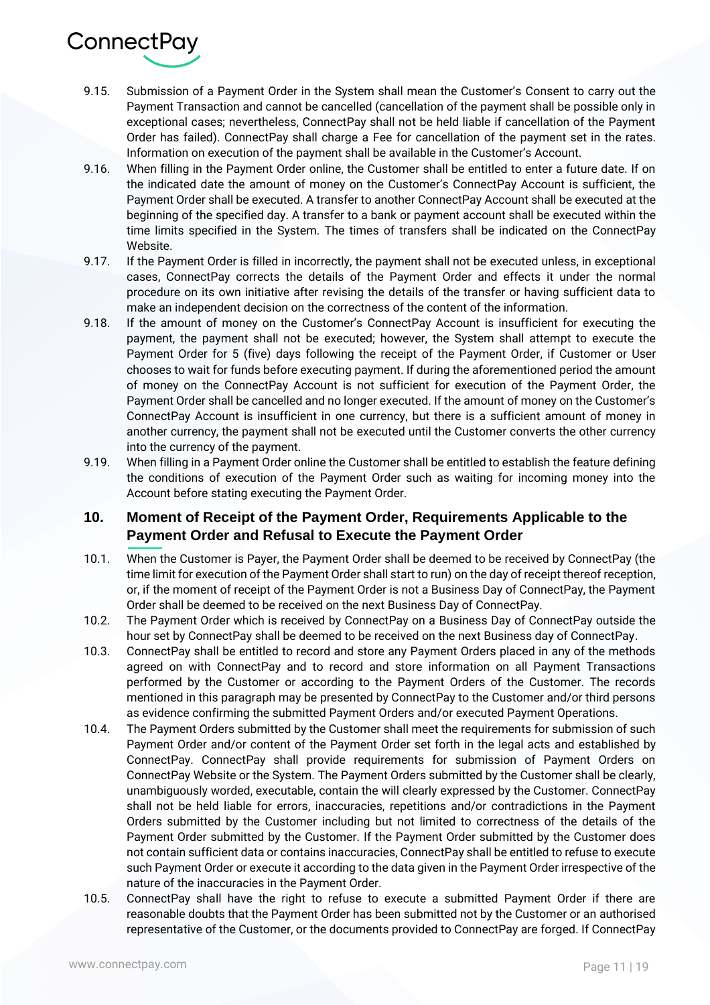

- 9.15. Submission of a Payment Order in the System shall mean the Customer's Consent to carry out the Payment Transaction and cannot be cancelled (cancellation of the payment shall be possible only in exceptional cases; nevertheless, ConnectPay shall not be held liable if cancellation of the Payment Order has failed). ConnectPay shall charge a Fee for cancellation of the payment set in the rates. Information on execution of the payment shall be available in the Customer's Account.
- 9.16. When filling in the Payment Order online, the Customer shall be entitled to enter a future date. If on the indicated date the amount of money on the Customer's ConnectPay Account is sufficient, the Payment Order shall be executed. A transfer to another ConnectPay Account shall be executed at the beginning of the specified day. A transfer to a bank or payment account shall be executed within the time limits specified in the System. The times of transfers shall be indicated on the ConnectPay Website.
- 9.17. If the Payment Order is filled in incorrectly, the payment shall not be executed unless, in exceptional cases, ConnectPay corrects the details of the Payment Order and effects it under the normal procedure on its own initiative after revising the details of the transfer or having sufficient data to make an independent decision on the correctness of the content of the information.
- 9.18. If the amount of money on the Customer's ConnectPay Account is insufficient for executing the payment, the payment shall not be executed; however, the System shall attempt to execute the Payment Order for 5 (five) days following the receipt of the Payment Order, if Customer or User chooses to wait for funds before executing payment. If during the aforementioned period the amount of money on the ConnectPay Account is not sufficient for execution of the Payment Order, the Payment Order shall be cancelled and no longer executed. If the amount of money on the Customer's ConnectPay Account is insufficient in one currency, but there is a sufficient amount of money in another currency, the payment shall not be executed until the Customer converts the other currency into the currency of the payment.
- 9.19. When filling in a Payment Order online the Customer shall be entitled to establish the feature defining the conditions of execution of the Payment Order such as waiting for incoming money into the Account before stating executing the Payment Order.

# **10. Moment of Receipt of the Payment Order, Requirements Applicable to the Payment Order and Refusal to Execute the Payment Order**

- 10.1. When the Customer is Payer, the Payment Order shall be deemed to be received by ConnectPay (the time limit for execution of the Payment Order shall start to run) on the day of receipt thereof reception, or, if the moment of receipt of the Payment Order is not a Business Day of ConnectPay, the Payment Order shall be deemed to be received on the next Business Day of ConnectPay.
- 10.2. The Payment Order which is received by ConnectPay on a Business Day of ConnectPay outside the hour set by ConnectPay shall be deemed to be received on the next Business day of ConnectPay.
- 10.3. ConnectPay shall be entitled to record and store any Payment Orders placed in any of the methods agreed on with ConnectPay and to record and store information on all Payment Transactions performed by the Customer or according to the Payment Orders of the Customer. The records mentioned in this paragraph may be presented by ConnectPay to the Customer and/or third persons as evidence confirming the submitted Payment Orders and/or executed Payment Operations.
- 10.4. The Payment Orders submitted by the Customer shall meet the requirements for submission of such Payment Order and/or content of the Payment Order set forth in the legal acts and established by ConnectPay. ConnectPay shall provide requirements for submission of Payment Orders on ConnectPay Website or the System. The Payment Orders submitted by the Customer shall be clearly, unambiguously worded, executable, contain the will clearly expressed by the Customer. ConnectPay shall not be held liable for errors, inaccuracies, repetitions and/or contradictions in the Payment Orders submitted by the Customer including but not limited to correctness of the details of the Payment Order submitted by the Customer. If the Payment Order submitted by the Customer does not contain sufficient data or contains inaccuracies, ConnectPay shall be entitled to refuse to execute such Payment Order or execute it according to the data given in the Payment Order irrespective of the nature of the inaccuracies in the Payment Order.
- 10.5. ConnectPay shall have the right to refuse to execute a submitted Payment Order if there are reasonable doubts that the Payment Order has been submitted not by the Customer or an authorised representative of the Customer, or the documents provided to ConnectPay are forged. If ConnectPay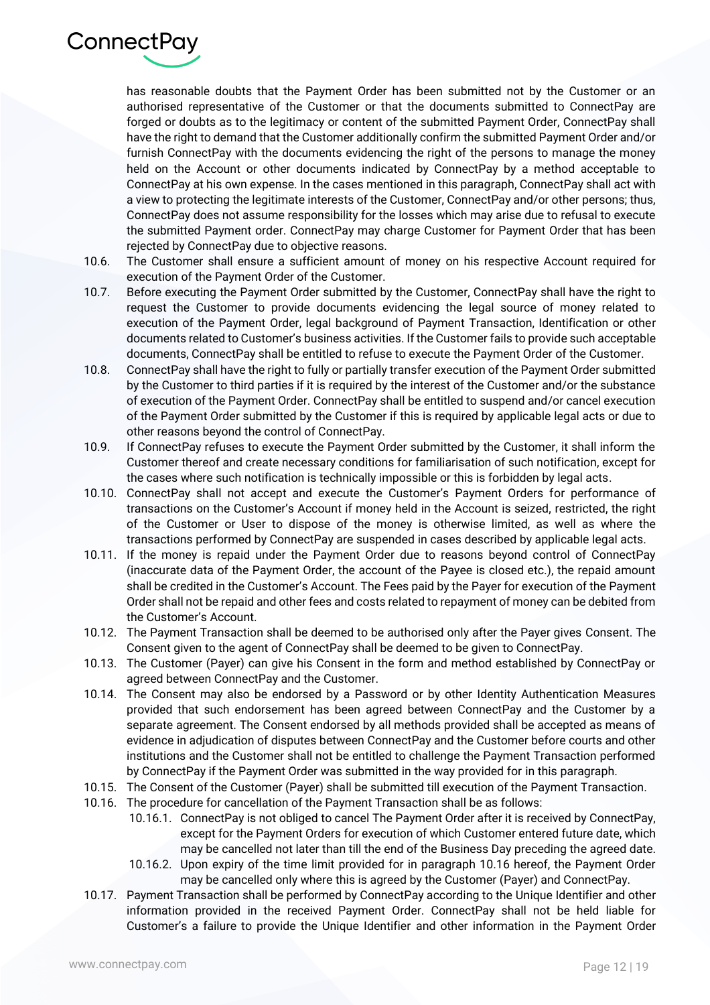

has reasonable doubts that the Payment Order has been submitted not by the Customer or an authorised representative of the Customer or that the documents submitted to ConnectPay are forged or doubts as to the legitimacy or content of the submitted Payment Order, ConnectPay shall have the right to demand that the Customer additionally confirm the submitted Payment Order and/or furnish ConnectPay with the documents evidencing the right of the persons to manage the money held on the Account or other documents indicated by ConnectPay by a method acceptable to ConnectPay at his own expense. In the cases mentioned in this paragraph, ConnectPay shall act with a view to protecting the legitimate interests of the Customer, ConnectPay and/or other persons; thus, ConnectPay does not assume responsibility for the losses which may arise due to refusal to execute the submitted Payment order. ConnectPay may charge Customer for Payment Order that has been rejected by ConnectPay due to objective reasons.

- 10.6. The Customer shall ensure a sufficient amount of money on his respective Account required for execution of the Payment Order of the Customer.
- 10.7. Before executing the Payment Order submitted by the Customer, ConnectPay shall have the right to request the Customer to provide documents evidencing the legal source of money related to execution of the Payment Order, legal background of Payment Transaction, Identification or other documents related to Customer's business activities. If the Customer fails to provide such acceptable documents, ConnectPay shall be entitled to refuse to execute the Payment Order of the Customer.
- 10.8. ConnectPay shall have the right to fully or partially transfer execution of the Payment Order submitted by the Customer to third parties if it is required by the interest of the Customer and/or the substance of execution of the Payment Order. ConnectPay shall be entitled to suspend and/or cancel execution of the Payment Order submitted by the Customer if this is required by applicable legal acts or due to other reasons beyond the control of ConnectPay.
- 10.9. If ConnectPay refuses to execute the Payment Order submitted by the Customer, it shall inform the Customer thereof and create necessary conditions for familiarisation of such notification, except for the cases where such notification is technically impossible or this is forbidden by legal acts.
- 10.10. ConnectPay shall not accept and execute the Customer's Payment Orders for performance of transactions on the Customer's Account if money held in the Account is seized, restricted, the right of the Customer or User to dispose of the money is otherwise limited, as well as where the transactions performed by ConnectPay are suspended in cases described by applicable legal acts.
- 10.11. If the money is repaid under the Payment Order due to reasons beyond control of ConnectPay (inaccurate data of the Payment Order, the account of the Payee is closed etc.), the repaid amount shall be credited in the Customer's Account. The Fees paid by the Payer for execution of the Payment Order shall not be repaid and other fees and costs related to repayment of money can be debited from the Customer's Account.
- 10.12. The Payment Transaction shall be deemed to be authorised only after the Payer gives Consent. The Consent given to the agent of ConnectPay shall be deemed to be given to ConnectPay.
- 10.13. The Customer (Payer) can give his Consent in the form and method established by ConnectPay or agreed between ConnectPay and the Customer.
- 10.14. The Consent may also be endorsed by a Password or by other Identity Authentication Measures provided that such endorsement has been agreed between ConnectPay and the Customer by a separate agreement. The Consent endorsed by all methods provided shall be accepted as means of evidence in adjudication of disputes between ConnectPay and the Customer before courts and other institutions and the Customer shall not be entitled to challenge the Payment Transaction performed by ConnectPay if the Payment Order was submitted in the way provided for in this paragraph.
- 10.15. The Consent of the Customer (Payer) shall be submitted till execution of the Payment Transaction.
- 10.16. The procedure for cancellation of the Payment Transaction shall be as follows:
	- 10.16.1. ConnectPay is not obliged to cancel The Payment Order after it is received by ConnectPay, except for the Payment Orders for execution of which Customer entered future date, which may be cancelled not later than till the end of the Business Day preceding the agreed date.
	- 10.16.2. Upon expiry of the time limit provided for in paragraph 10.16 hereof, the Payment Order may be cancelled only where this is agreed by the Customer (Payer) and ConnectPay.
- 10.17. Payment Transaction shall be performed by ConnectPay according to the Unique Identifier and other information provided in the received Payment Order. ConnectPay shall not be held liable for Customer's a failure to provide the Unique Identifier and other information in the Payment Order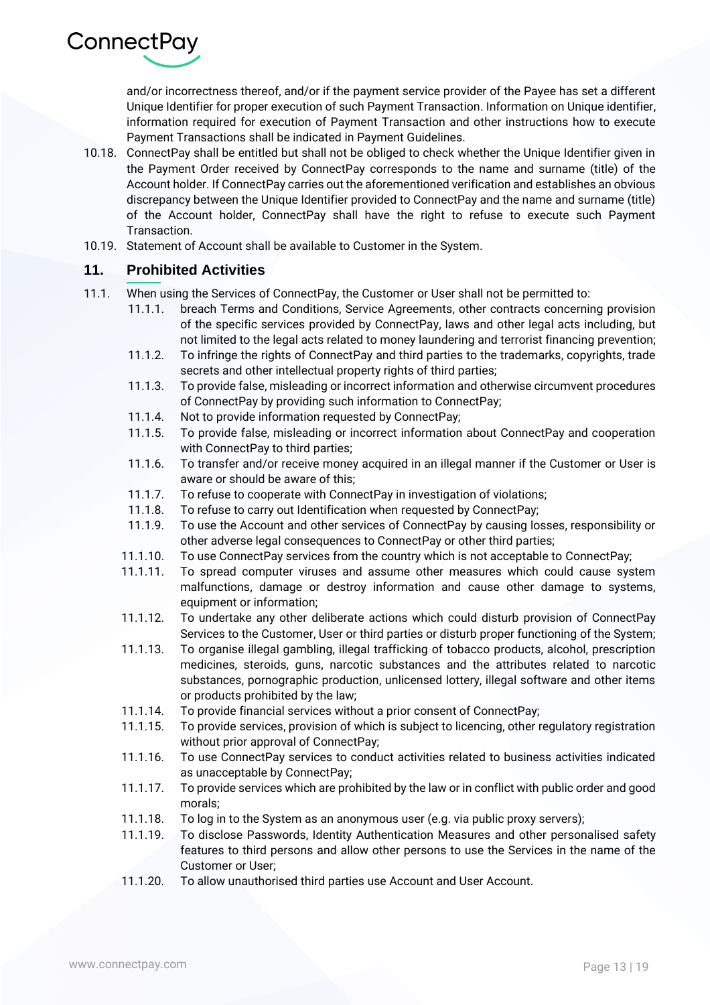

and/or incorrectness thereof, and/or if the payment service provider of the Payee has set a different Unique Identifier for proper execution of such Payment Transaction. Information on Unique identifier, information required for execution of Payment Transaction and other instructions how to execute Payment Transactions shall be indicated in Payment Guidelines.

- 10.18. ConnectPay shall be entitled but shall not be obliged to check whether the Unique Identifier given in the Payment Order received by ConnectPay corresponds to the name and surname (title) of the Account holder. If ConnectPay carries out the aforementioned verification and establishes an obvious discrepancy between the Unique Identifier provided to ConnectPay and the name and surname (title) of the Account holder, ConnectPay shall have the right to refuse to execute such Payment Transaction.
- 10.19. Statement of Account shall be available to Customer in the System.

#### **11. Prohibited Activities**

- 11.1. When using the Services of ConnectPay, the Customer or User shall not be permitted to:
	- 11.1.1. breach Terms and Conditions, Service Agreements, other contracts concerning provision of the specific services provided by ConnectPay, laws and other legal acts including, but not limited to the legal acts related to money laundering and terrorist financing prevention;
	- 11.1.2. To infringe the rights of ConnectPay and third parties to the trademarks, copyrights, trade secrets and other intellectual property rights of third parties;
	- 11.1.3. To provide false, misleading or incorrect information and otherwise circumvent procedures of ConnectPay by providing such information to ConnectPay;
	- 11.1.4. Not to provide information requested by ConnectPay;
	- 11.1.5. To provide false, misleading or incorrect information about ConnectPay and cooperation with ConnectPay to third parties;
	- 11.1.6. To transfer and/or receive money acquired in an illegal manner if the Customer or User is aware or should be aware of this;
	- 11.1.7. To refuse to cooperate with ConnectPay in investigation of violations;
	- 11.1.8. To refuse to carry out Identification when requested by ConnectPay;
	- 11.1.9. To use the Account and other services of ConnectPay by causing losses, responsibility or other adverse legal consequences to ConnectPay or other third parties;
	- 11.1.10. To use ConnectPay services from the country which is not acceptable to ConnectPay;
	- 11.1.11. To spread computer viruses and assume other measures which could cause system malfunctions, damage or destroy information and cause other damage to systems, equipment or information;
	- 11.1.12. To undertake any other deliberate actions which could disturb provision of ConnectPay Services to the Customer, User or third parties or disturb proper functioning of the System;
	- 11.1.13. To organise illegal gambling, illegal trafficking of tobacco products, alcohol, prescription medicines, steroids, guns, narcotic substances and the attributes related to narcotic substances, pornographic production, unlicensed lottery, illegal software and other items or products prohibited by the law;
	- 11.1.14. To provide financial services without a prior consent of ConnectPay;
	- 11.1.15. To provide services, provision of which is subject to licencing, other regulatory registration without prior approval of ConnectPay;
	- 11.1.16. To use ConnectPay services to conduct activities related to business activities indicated as unacceptable by ConnectPay;
	- 11.1.17. To provide services which are prohibited by the law or in conflict with public order and good morals;
	- 11.1.18. To log in to the System as an anonymous user (e.g. via public proxy servers);
	- 11.1.19. To disclose Passwords, Identity Authentication Measures and other personalised safety features to third persons and allow other persons to use the Services in the name of the Customer or User;
	- 11.1.20. To allow unauthorised third parties use Account and User Account.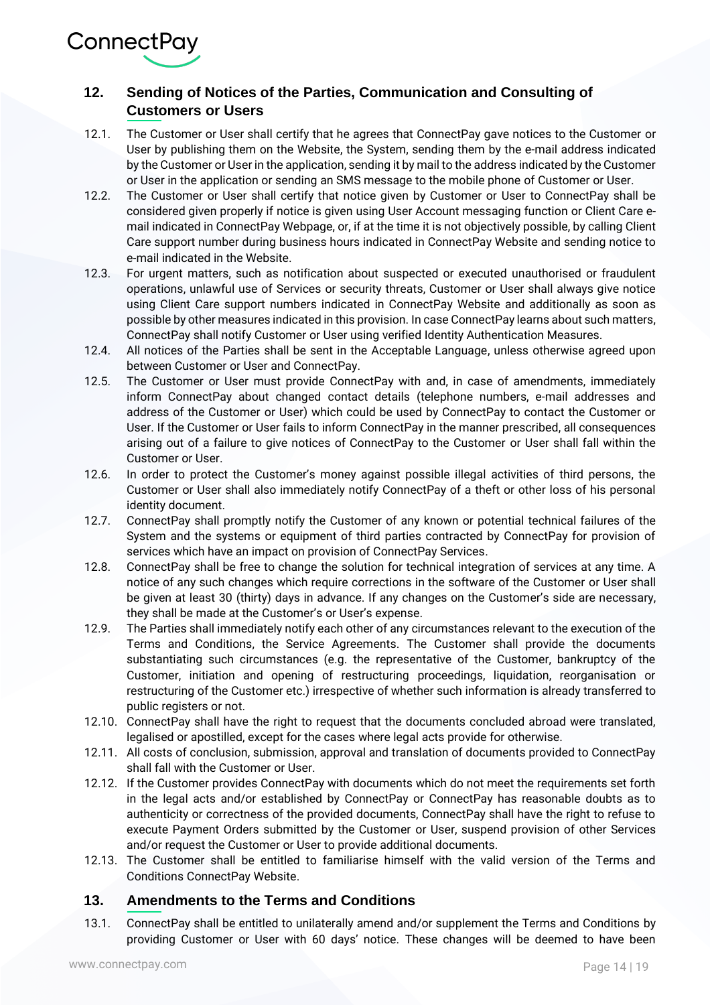ConnectPay

# **12. Sending of Notices of the Parties, Communication and Consulting of Customers or Users**

- 12.1. The Customer or User shall certify that he agrees that ConnectPay gave notices to the Customer or User by publishing them on the Website, the System, sending them by the e-mail address indicated by the Customer or User in the application, sending it by mail to the address indicated by the Customer or User in the application or sending an SMS message to the mobile phone of Customer or User.
- 12.2. The Customer or User shall certify that notice given by Customer or User to ConnectPay shall be considered given properly if notice is given using User Account messaging function or Client Care email indicated in ConnectPay Webpage, or, if at the time it is not objectively possible, by calling Client Care support number during business hours indicated in ConnectPay Website and sending notice to e-mail indicated in the Website.
- 12.3. For urgent matters, such as notification about suspected or executed unauthorised or fraudulent operations, unlawful use of Services or security threats, Customer or User shall always give notice using Client Care support numbers indicated in ConnectPay Website and additionally as soon as possible by other measures indicated in this provision. In case ConnectPay learns about such matters, ConnectPay shall notify Customer or User using verified Identity Authentication Measures.
- 12.4. All notices of the Parties shall be sent in the Acceptable Language, unless otherwise agreed upon between Customer or User and ConnectPay.
- 12.5. The Customer or User must provide ConnectPay with and, in case of amendments, immediately inform ConnectPay about changed contact details (telephone numbers, e-mail addresses and address of the Customer or User) which could be used by ConnectPay to contact the Customer or User. If the Customer or User fails to inform ConnectPay in the manner prescribed, all consequences arising out of a failure to give notices of ConnectPay to the Customer or User shall fall within the Customer or User.
- 12.6. In order to protect the Customer's money against possible illegal activities of third persons, the Customer or User shall also immediately notify ConnectPay of a theft or other loss of his personal identity document.
- 12.7. ConnectPay shall promptly notify the Customer of any known or potential technical failures of the System and the systems or equipment of third parties contracted by ConnectPay for provision of services which have an impact on provision of ConnectPay Services.
- 12.8. ConnectPay shall be free to change the solution for technical integration of services at any time. A notice of any such changes which require corrections in the software of the Customer or User shall be given at least 30 (thirty) days in advance. If any changes on the Customer's side are necessary, they shall be made at the Customer's or User's expense.
- 12.9. The Parties shall immediately notify each other of any circumstances relevant to the execution of the Terms and Conditions, the Service Agreements. The Customer shall provide the documents substantiating such circumstances (e.g. the representative of the Customer, bankruptcy of the Customer, initiation and opening of restructuring proceedings, liquidation, reorganisation or restructuring of the Customer etc.) irrespective of whether such information is already transferred to public registers or not.
- 12.10. ConnectPay shall have the right to request that the documents concluded abroad were translated, legalised or apostilled, except for the cases where legal acts provide for otherwise.
- 12.11. All costs of conclusion, submission, approval and translation of documents provided to ConnectPay shall fall with the Customer or User.
- 12.12. If the Customer provides ConnectPay with documents which do not meet the requirements set forth in the legal acts and/or established by ConnectPay or ConnectPay has reasonable doubts as to authenticity or correctness of the provided documents, ConnectPay shall have the right to refuse to execute Payment Orders submitted by the Customer or User, suspend provision of other Services and/or request the Customer or User to provide additional documents.
- 12.13. The Customer shall be entitled to familiarise himself with the valid version of the Terms and Conditions ConnectPay Website.

#### **13. Amendments to the Terms and Conditions**

13.1. ConnectPay shall be entitled to unilaterally amend and/or supplement the Terms and Conditions by providing Customer or User with 60 days' notice. These changes will be deemed to have been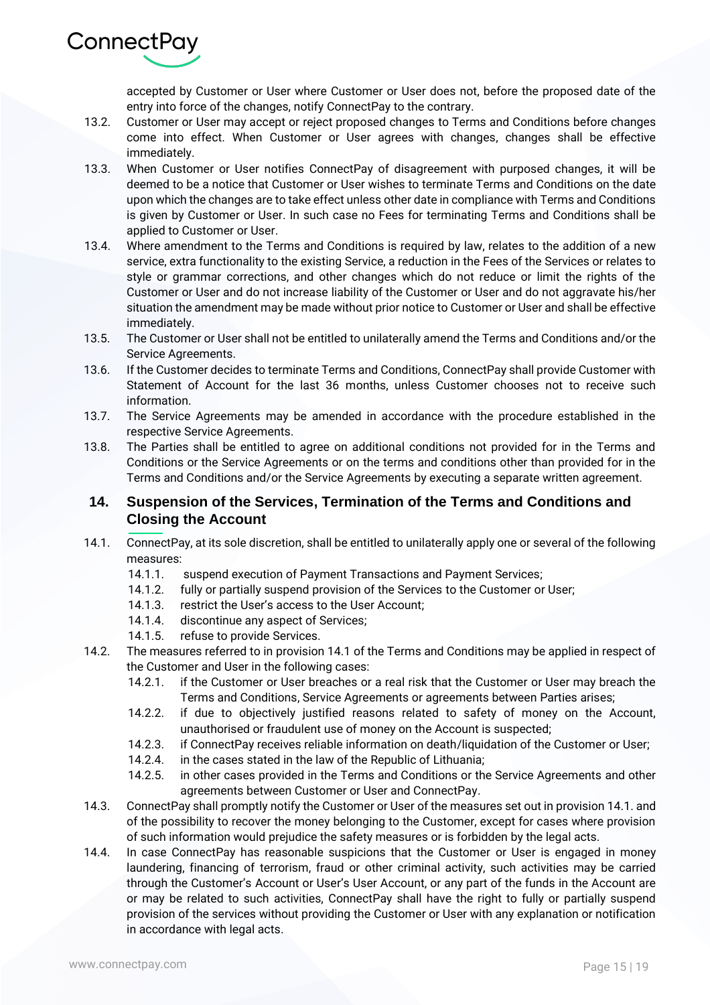

accepted by Customer or User where Customer or User does not, before the proposed date of the entry into force of the changes, notify ConnectPay to the contrary.

- 13.2. Customer or User may accept or reject proposed changes to Terms and Conditions before changes come into effect. When Customer or User agrees with changes, changes shall be effective immediately.
- 13.3. When Customer or User notifies ConnectPay of disagreement with purposed changes, it will be deemed to be a notice that Customer or User wishes to terminate Terms and Conditions on the date upon which the changes are to take effect unless other date in compliance with Terms and Conditions is given by Customer or User. In such case no Fees for terminating Terms and Conditions shall be applied to Customer or User.
- 13.4. Where amendment to the Terms and Conditions is required by law, relates to the addition of a new service, extra functionality to the existing Service, a reduction in the Fees of the Services or relates to style or grammar corrections, and other changes which do not reduce or limit the rights of the Customer or User and do not increase liability of the Customer or User and do not aggravate his/her situation the amendment may be made without prior notice to Customer or User and shall be effective immediately.
- 13.5. The Customer or User shall not be entitled to unilaterally amend the Terms and Conditions and/or the Service Agreements.
- 13.6. If the Customer decides to terminate Terms and Conditions, ConnectPay shall provide Customer with Statement of Account for the last 36 months, unless Customer chooses not to receive such information.
- 13.7. The Service Agreements may be amended in accordance with the procedure established in the respective Service Agreements.
- 13.8. The Parties shall be entitled to agree on additional conditions not provided for in the Terms and Conditions or the Service Agreements or on the terms and conditions other than provided for in the Terms and Conditions and/or the Service Agreements by executing a separate written agreement.

# **14. Suspension of the Services, Termination of the Terms and Conditions and Closing the Account**

- 14.1. ConnectPay, at its sole discretion, shall be entitled to unilaterally apply one or several of the following measures:
	- 14.1.1. suspend execution of Payment Transactions and Payment Services;
	- 14.1.2. fully or partially suspend provision of the Services to the Customer or User;
	- 14.1.3. restrict the User's access to the User Account;
	- 14.1.4. discontinue any aspect of Services;
	- 14.1.5. refuse to provide Services.
- 14.2. The measures referred to in provision 14.1 of the Terms and Conditions may be applied in respect of the Customer and User in the following cases:
	- 14.2.1. if the Customer or User breaches or a real risk that the Customer or User may breach the Terms and Conditions, Service Agreements or agreements between Parties arises;
	- 14.2.2. if due to objectively justified reasons related to safety of money on the Account, unauthorised or fraudulent use of money on the Account is suspected;
	- 14.2.3. if ConnectPay receives reliable information on death/liquidation of the Customer or User;
	- 14.2.4. in the cases stated in the law of the Republic of Lithuania;
	- 14.2.5. in other cases provided in the Terms and Conditions or the Service Agreements and other agreements between Customer or User and ConnectPay.
- 14.3. ConnectPay shall promptly notify the Customer or User of the measures set out in provision 14.1. and of the possibility to recover the money belonging to the Customer, except for cases where provision of such information would prejudice the safety measures or is forbidden by the legal acts.
- 14.4. In case ConnectPay has reasonable suspicions that the Customer or User is engaged in money laundering, financing of terrorism, fraud or other criminal activity, such activities may be carried through the Customer's Account or User's User Account, or any part of the funds in the Account are or may be related to such activities, ConnectPay shall have the right to fully or partially suspend provision of the services without providing the Customer or User with any explanation or notification in accordance with legal acts.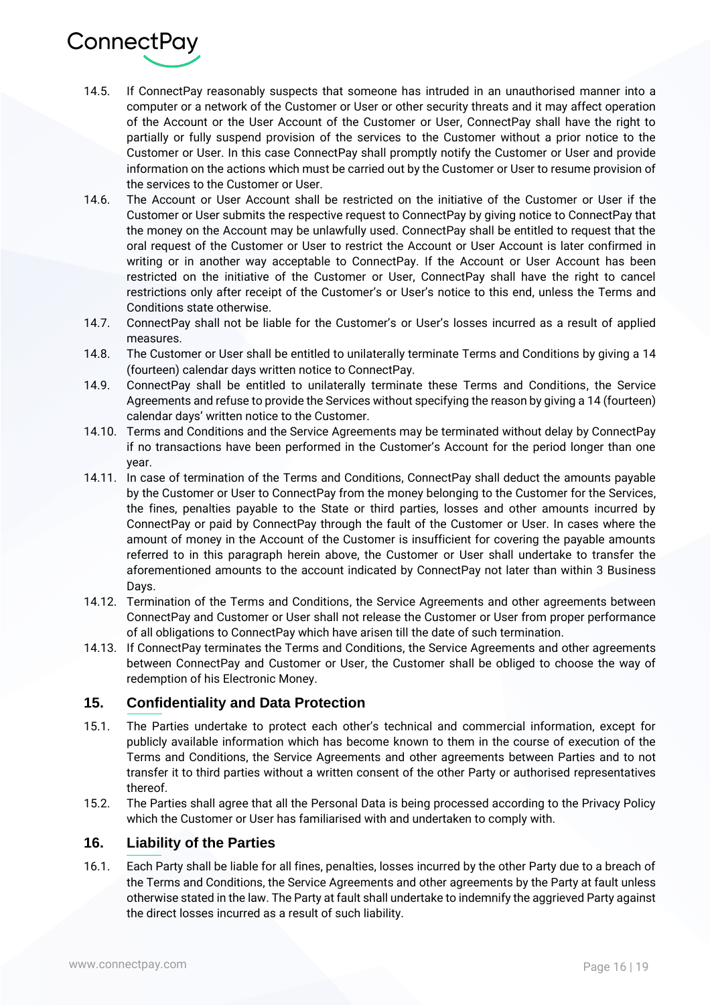

- 14.5. If ConnectPay reasonably suspects that someone has intruded in an unauthorised manner into a computer or a network of the Customer or User or other security threats and it may affect operation of the Account or the User Account of the Customer or User, ConnectPay shall have the right to partially or fully suspend provision of the services to the Customer without a prior notice to the Customer or User. In this case ConnectPay shall promptly notify the Customer or User and provide information on the actions which must be carried out by the Customer or User to resume provision of the services to the Customer or User.
- 14.6. The Account or User Account shall be restricted on the initiative of the Customer or User if the Customer or User submits the respective request to ConnectPay by giving notice to ConnectPay that the money on the Account may be unlawfully used. ConnectPay shall be entitled to request that the oral request of the Customer or User to restrict the Account or User Account is later confirmed in writing or in another way acceptable to ConnectPay. If the Account or User Account has been restricted on the initiative of the Customer or User, ConnectPay shall have the right to cancel restrictions only after receipt of the Customer's or User's notice to this end, unless the Terms and Conditions state otherwise.
- 14.7. ConnectPay shall not be liable for the Customer's or User's losses incurred as a result of applied measures.
- 14.8. The Customer or User shall be entitled to unilaterally terminate Terms and Conditions by giving a 14 (fourteen) calendar days written notice to ConnectPay.
- 14.9. ConnectPay shall be entitled to unilaterally terminate these Terms and Conditions, the Service Agreements and refuse to provide the Services without specifying the reason by giving a 14 (fourteen) calendar days' written notice to the Customer.
- 14.10. Terms and Conditions and the Service Agreements may be terminated without delay by ConnectPay if no transactions have been performed in the Customer's Account for the period longer than one year.
- 14.11. In case of termination of the Terms and Conditions, ConnectPay shall deduct the amounts payable by the Customer or User to ConnectPay from the money belonging to the Customer for the Services, the fines, penalties payable to the State or third parties, losses and other amounts incurred by ConnectPay or paid by ConnectPay through the fault of the Customer or User. In cases where the amount of money in the Account of the Customer is insufficient for covering the payable amounts referred to in this paragraph herein above, the Customer or User shall undertake to transfer the aforementioned amounts to the account indicated by ConnectPay not later than within 3 Business Days.
- 14.12. Termination of the Terms and Conditions, the Service Agreements and other agreements between ConnectPay and Customer or User shall not release the Customer or User from proper performance of all obligations to ConnectPay which have arisen till the date of such termination.
- 14.13. If ConnectPay terminates the Terms and Conditions, the Service Agreements and other agreements between ConnectPay and Customer or User, the Customer shall be obliged to choose the way of redemption of his Electronic Money.

# **15. Confidentiality and Data Protection**

- 15.1. The Parties undertake to protect each other's technical and commercial information, except for publicly available information which has become known to them in the course of execution of the Terms and Conditions, the Service Agreements and other agreements between Parties and to not transfer it to third parties without a written consent of the other Party or authorised representatives thereof.
- 15.2. The Parties shall agree that all the Personal Data is being processed according to the Privacy Policy which the Customer or User has familiarised with and undertaken to comply with.

# **16. Liability of the Parties**

16.1. Each Party shall be liable for all fines, penalties, losses incurred by the other Party due to a breach of the Terms and Conditions, the Service Agreements and other agreements by the Party at fault unless otherwise stated in the law. The Party at fault shall undertake to indemnify the aggrieved Party against the direct losses incurred as a result of such liability.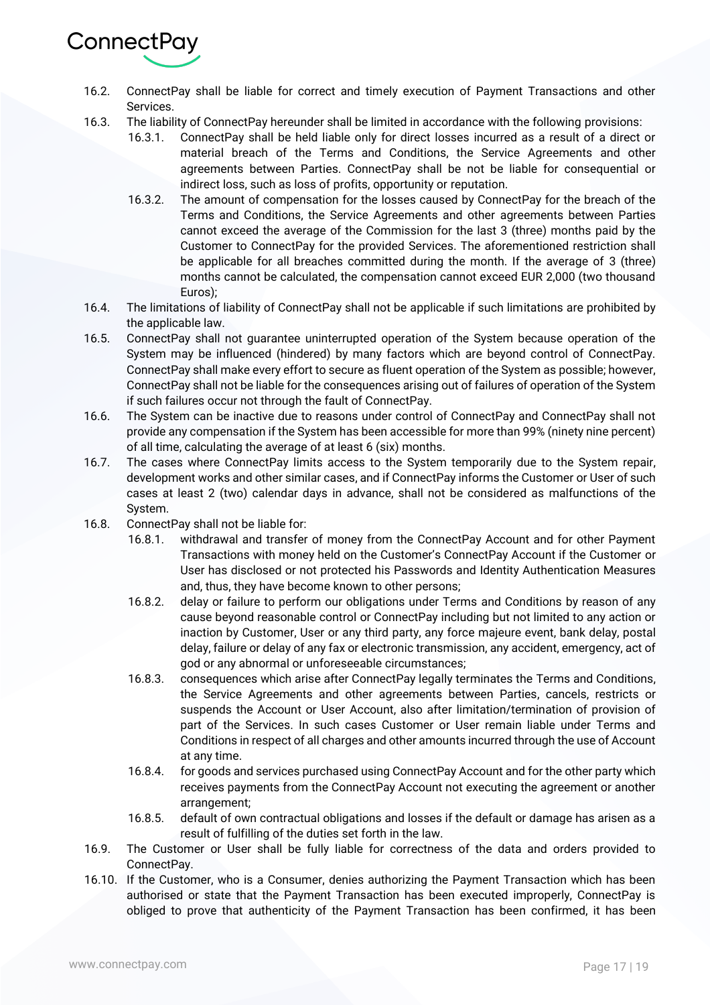

- 16.2. ConnectPay shall be liable for correct and timely execution of Payment Transactions and other Services.
- 16.3. The liability of ConnectPay hereunder shall be limited in accordance with the following provisions:
	- 16.3.1. ConnectPay shall be held liable only for direct losses incurred as a result of a direct or material breach of the Terms and Conditions, the Service Agreements and other agreements between Parties. ConnectPay shall be not be liable for consequential or indirect loss, such as loss of profits, opportunity or reputation.
	- 16.3.2. The amount of compensation for the losses caused by ConnectPay for the breach of the Terms and Conditions, the Service Agreements and other agreements between Parties cannot exceed the average of the Commission for the last 3 (three) months paid by the Customer to ConnectPay for the provided Services. The aforementioned restriction shall be applicable for all breaches committed during the month. If the average of 3 (three) months cannot be calculated, the compensation cannot exceed EUR 2,000 (two thousand Euros);
- 16.4. The limitations of liability of ConnectPay shall not be applicable if such limitations are prohibited by the applicable law.
- 16.5. ConnectPay shall not guarantee uninterrupted operation of the System because operation of the System may be influenced (hindered) by many factors which are beyond control of ConnectPay. ConnectPay shall make every effort to secure as fluent operation of the System as possible; however, ConnectPay shall not be liable for the consequences arising out of failures of operation of the System if such failures occur not through the fault of ConnectPay.
- 16.6. The System can be inactive due to reasons under control of ConnectPay and ConnectPay shall not provide any compensation if the System has been accessible for more than 99% (ninety nine percent) of all time, calculating the average of at least 6 (six) months.
- 16.7. The cases where ConnectPay limits access to the System temporarily due to the System repair, development works and other similar cases, and if ConnectPay informs the Customer or User of such cases at least 2 (two) calendar days in advance, shall not be considered as malfunctions of the System.
- 16.8. ConnectPay shall not be liable for:
	- 16.8.1. withdrawal and transfer of money from the ConnectPay Account and for other Payment Transactions with money held on the Customer's ConnectPay Account if the Customer or User has disclosed or not protected his Passwords and Identity Authentication Measures and, thus, they have become known to other persons;
	- 16.8.2. delay or failure to perform our obligations under Terms and Conditions by reason of any cause beyond reasonable control or ConnectPay including but not limited to any action or inaction by Customer, User or any third party, any force majeure event, bank delay, postal delay, failure or delay of any fax or electronic transmission, any accident, emergency, act of god or any abnormal or unforeseeable circumstances;
	- 16.8.3. consequences which arise after ConnectPay legally terminates the Terms and Conditions, the Service Agreements and other agreements between Parties, cancels, restricts or suspends the Account or User Account, also after limitation/termination of provision of part of the Services. In such cases Customer or User remain liable under Terms and Conditions in respect of all charges and other amounts incurred through the use of Account at any time.
	- 16.8.4. for goods and services purchased using ConnectPay Account and for the other party which receives payments from the ConnectPay Account not executing the agreement or another arrangement;
	- 16.8.5. default of own contractual obligations and losses if the default or damage has arisen as a result of fulfilling of the duties set forth in the law.
- 16.9. The Customer or User shall be fully liable for correctness of the data and orders provided to ConnectPay.
- 16.10. If the Customer, who is a Consumer, denies authorizing the Payment Transaction which has been authorised or state that the Payment Transaction has been executed improperly, ConnectPay is obliged to prove that authenticity of the Payment Transaction has been confirmed, it has been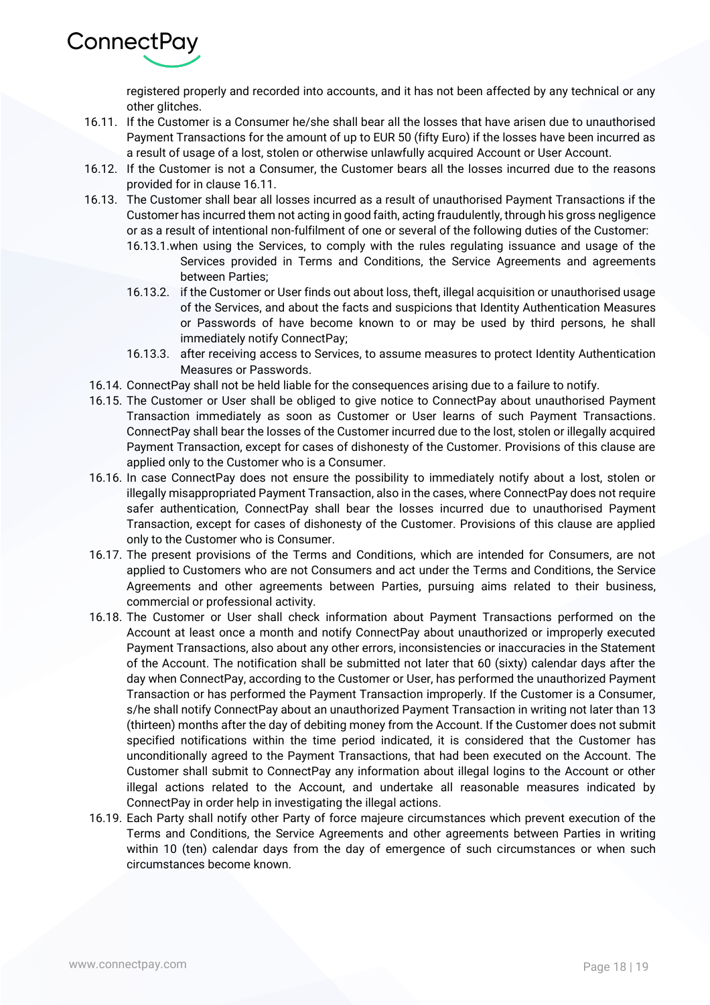

registered properly and recorded into accounts, and it has not been affected by any technical or any other glitches.

- 16.11. If the Customer is a Consumer he/she shall bear all the losses that have arisen due to unauthorised Payment Transactions for the amount of up to EUR 50 (fifty Euro) if the losses have been incurred as a result of usage of a lost, stolen or otherwise unlawfully acquired Account or User Account.
- 16.12. If the Customer is not a Consumer, the Customer bears all the losses incurred due to the reasons provided for in clause 16.11.
- 16.13. The Customer shall bear all losses incurred as a result of unauthorised Payment Transactions if the Customer has incurred them not acting in good faith, acting fraudulently, through his gross negligence or as a result of intentional non-fulfilment of one or several of the following duties of the Customer:
	- 16.13.1.when using the Services, to comply with the rules regulating issuance and usage of the Services provided in Terms and Conditions, the Service Agreements and agreements between Parties;
	- 16.13.2. if the Customer or User finds out about loss, theft, illegal acquisition or unauthorised usage of the Services, and about the facts and suspicions that Identity Authentication Measures or Passwords of have become known to or may be used by third persons, he shall immediately notify ConnectPay;
	- 16.13.3. after receiving access to Services, to assume measures to protect Identity Authentication Measures or Passwords.
- 16.14. ConnectPay shall not be held liable for the consequences arising due to a failure to notify.
- 16.15. The Customer or User shall be obliged to give notice to ConnectPay about unauthorised Payment Transaction immediately as soon as Customer or User learns of such Payment Transactions. ConnectPay shall bear the losses of the Customer incurred due to the lost, stolen or illegally acquired Payment Transaction, except for cases of dishonesty of the Customer. Provisions of this clause are applied only to the Customer who is a Consumer.
- 16.16. In case ConnectPay does not ensure the possibility to immediately notify about a lost, stolen or illegally misappropriated Payment Transaction, also in the cases, where ConnectPay does not require safer authentication, ConnectPay shall bear the losses incurred due to unauthorised Payment Transaction, except for cases of dishonesty of the Customer. Provisions of this clause are applied only to the Customer who is Consumer.
- 16.17. The present provisions of the Terms and Conditions, which are intended for Consumers, are not applied to Customers who are not Consumers and act under the Terms and Conditions, the Service Agreements and other agreements between Parties, pursuing aims related to their business, commercial or professional activity.
- 16.18. The Customer or User shall check information about Payment Transactions performed on the Account at least once a month and notify ConnectPay about unauthorized or improperly executed Payment Transactions, also about any other errors, inconsistencies or inaccuracies in the Statement of the Account. The notification shall be submitted not later that 60 (sixty) calendar days after the day when ConnectPay, according to the Customer or User, has performed the unauthorized Payment Transaction or has performed the Payment Transaction improperly. If the Customer is a Consumer, s/he shall notify ConnectPay about an unauthorized Payment Transaction in writing not later than 13 (thirteen) months after the day of debiting money from the Account. If the Customer does not submit specified notifications within the time period indicated, it is considered that the Customer has unconditionally agreed to the Payment Transactions, that had been executed on the Account. The Customer shall submit to ConnectPay any information about illegal logins to the Account or other illegal actions related to the Account, and undertake all reasonable measures indicated by ConnectPay in order help in investigating the illegal actions.
- 16.19. Each Party shall notify other Party of force majeure circumstances which prevent execution of the Terms and Conditions, the Service Agreements and other agreements between Parties in writing within 10 (ten) calendar days from the day of emergence of such circumstances or when such circumstances become known.